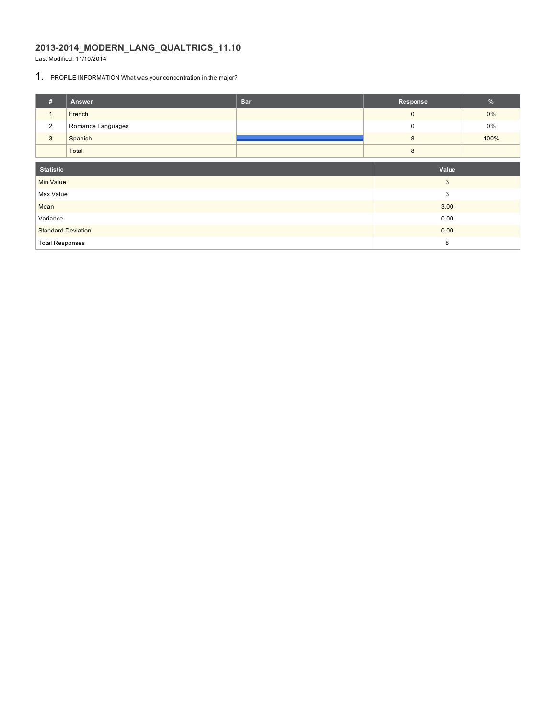# **2013-2014\_MODERN\_LANG\_QUALTRICS\_11.10**

Last Modified: 11/10/2014

# 1. PROFILE INFORMATION What was your concentration in the major?

| #                         | Answer            | <b>Bar</b> | Response         | $\%$  |  |  |
|---------------------------|-------------------|------------|------------------|-------|--|--|
| $\overline{1}$            | French            |            | $\mathbf 0$      | $0\%$ |  |  |
| $\overline{2}$            | Romance Languages |            | $\mathbf 0$      | 0%    |  |  |
| $\mathbf{3}$              | Spanish           |            | $\boldsymbol{8}$ | 100%  |  |  |
|                           | Total             |            | 8                |       |  |  |
| <b>Statistic</b>          |                   | Value      |                  |       |  |  |
| <b>Min Value</b>          |                   |            | 3                |       |  |  |
| Max Value                 |                   |            | 3                |       |  |  |
| Mean                      |                   |            | 3.00             |       |  |  |
| Variance                  |                   | 0.00       |                  |       |  |  |
| <b>Standard Deviation</b> |                   | 0.00       |                  |       |  |  |
| <b>Total Responses</b>    |                   | 8          |                  |       |  |  |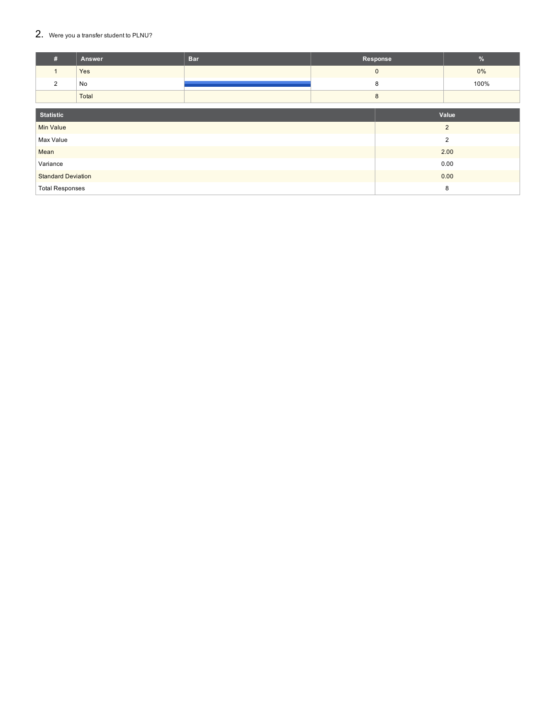### $2.$  Were you a transfer student to PLNU?

| #                         | Answer | <b>Bar</b> | Response     |                | %    |  |  |
|---------------------------|--------|------------|--------------|----------------|------|--|--|
|                           | Yes    |            | $\mathbf{0}$ |                | 0%   |  |  |
| 2                         | No     |            | 8            |                | 100% |  |  |
|                           | Total  |            | 8            |                |      |  |  |
| <b>Statistic</b><br>Value |        |            |              |                |      |  |  |
|                           |        |            |              |                |      |  |  |
| <b>Min Value</b>          |        |            |              | $\overline{2}$ |      |  |  |
| Max Value                 |        |            |              | $\overline{2}$ |      |  |  |
| Mean                      |        |            |              | 2.00           |      |  |  |
| Variance                  |        |            | 0.00         |                |      |  |  |
| <b>Standard Deviation</b> |        |            |              | 0.00           |      |  |  |
| <b>Total Responses</b>    |        |            | 8            |                |      |  |  |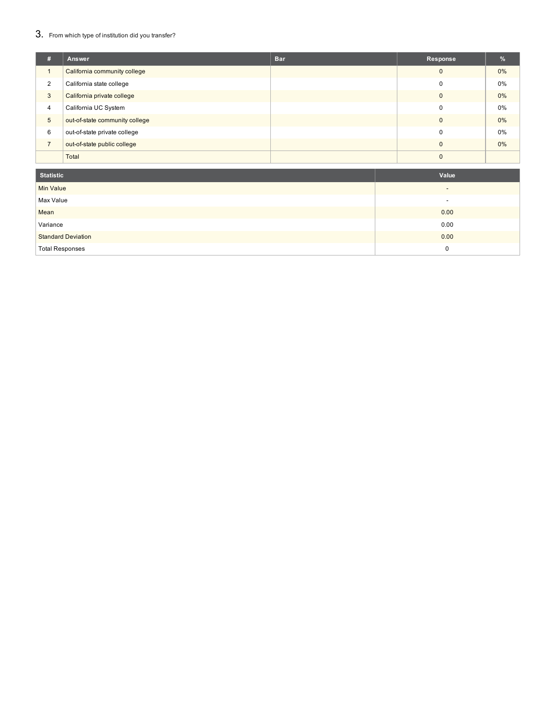### $3. \;$  From which type of institution did you transfer?

| #              | Answer                         | <b>Bar</b> | Response | $\frac{9}{6}$ |
|----------------|--------------------------------|------------|----------|---------------|
|                | California community college   |            | $\Omega$ | 0%            |
| $\overline{2}$ | California state college       |            |          | 0%            |
| 3              | California private college     |            | r        | 0%            |
| $\overline{4}$ | California UC System           |            |          | 0%            |
| $\sqrt{5}$     | out-of-state community college |            | ſ        | $0\%$         |
| 6              | out-of-state private college   |            |          | 0%            |
| $\overline{ }$ | out-of-state public college    |            |          | 0%            |
|                | Total                          |            |          |               |

| Statistic                 | Value                    |
|---------------------------|--------------------------|
| <b>Min Value</b>          | $\overline{\phantom{a}}$ |
| Max Value                 | -                        |
| Mean                      | 0.00                     |
| Variance                  | 0.00                     |
| <b>Standard Deviation</b> | 0.00                     |
| <b>Total Responses</b>    | 0                        |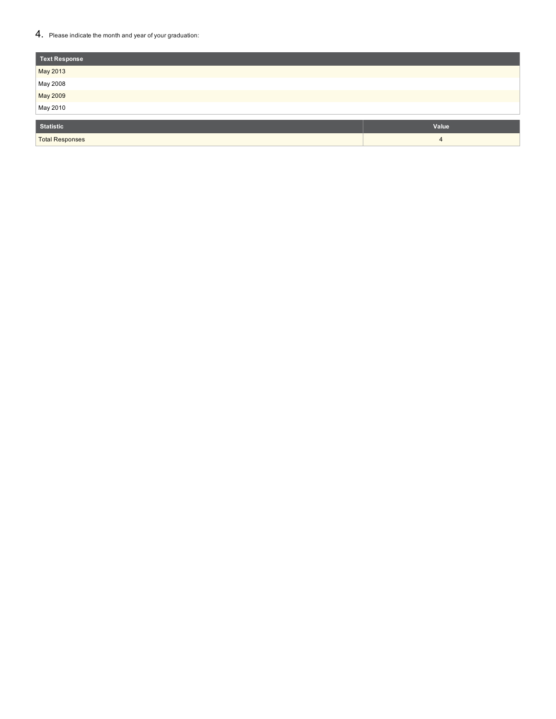### $4.$  Please indicate the month and year of your graduation:

| Text Response          |       |
|------------------------|-------|
| May 2013               |       |
| May 2008               |       |
| May 2009               |       |
| May 2010               |       |
| <b>Statistic</b>       | Value |
| <b>Total Responses</b> | 4     |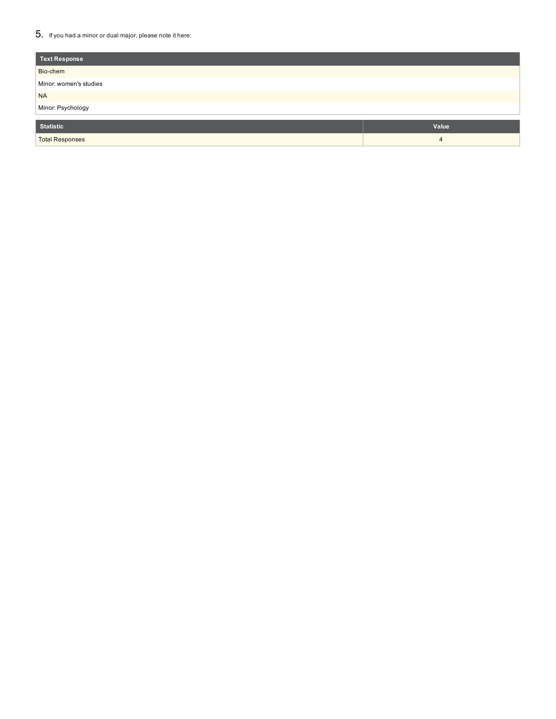### $5_{\cdot}\;$  If you had a minor or dual major, please note it here:

| Text Response          |       |
|------------------------|-------|
| Bio-chem               |       |
| Minor: women's studies |       |
| <b>NA</b>              |       |
| Minor: Psychology      |       |
|                        |       |
| <b>Statistic</b>       | Value |
| <b>Total Responses</b> | 4     |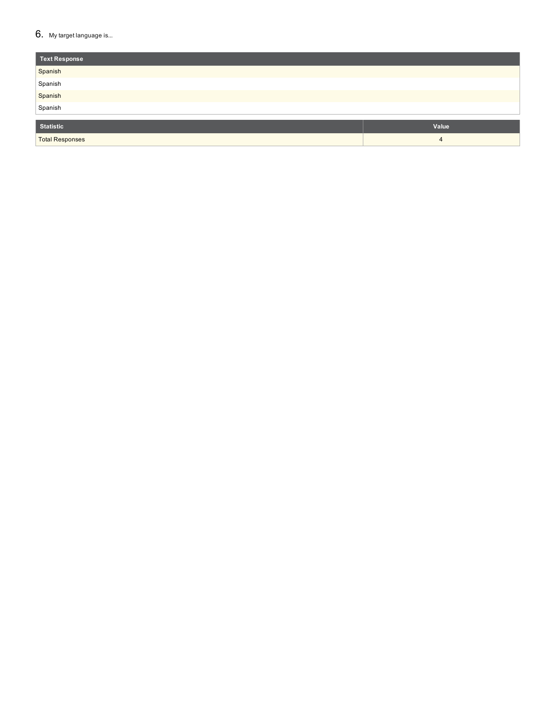### $6.$  My target language is...

| Text Response          |       |
|------------------------|-------|
| Spanish                |       |
| Spanish                |       |
| Spanish                |       |
| Spanish                |       |
|                        |       |
| Statistic              | Value |
| <b>Total Responses</b> | 4     |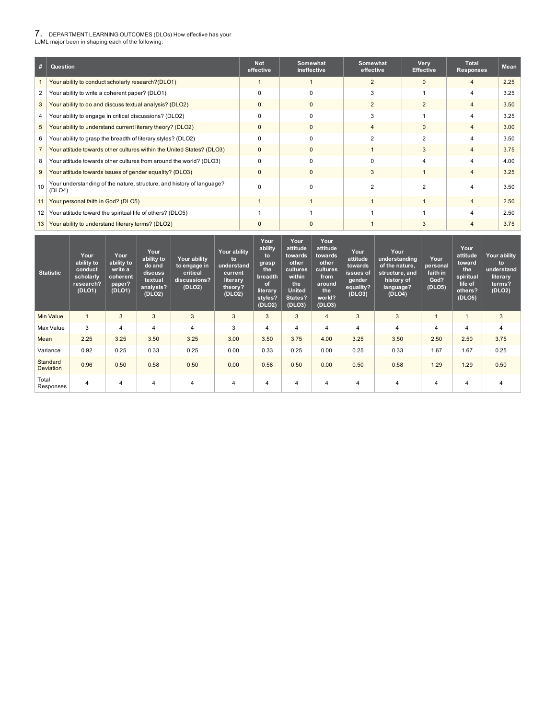# 7. DEPARTMENT LEARNING OUTCOMES (DLOs) How effective has your LJML major been in shaping each of the following:

| #              | Question                                                                        | <b>Not</b><br>effective | Somewhat<br>ineffective | Somewhat<br>effective | Very<br><b>Effective</b> | <b>Total</b><br><b>Responses</b> | <b>Mean</b> |
|----------------|---------------------------------------------------------------------------------|-------------------------|-------------------------|-----------------------|--------------------------|----------------------------------|-------------|
|                | Your ability to conduct scholarly research?(DLO1)                               |                         |                         | $\overline{2}$        | $\Omega$                 | $\overline{4}$                   | 2.25        |
| 2              | Your ability to write a coherent paper? (DLO1)                                  | $\Omega$                | $\Omega$                | 3                     |                          | 4                                | 3.25        |
| 3              | Your ability to do and discuss textual analysis? (DLO2)                         | $\mathbf{0}$            | $\mathbf{0}$            | $\overline{2}$        | $\overline{2}$           | $\overline{4}$                   | 3.50        |
| 4              | Your ability to engage in critical discussions? (DLO2)                          | $\Omega$                | $\Omega$                | 3                     |                          | 4                                | 3.25        |
| 5              | Your ability to understand current literary theory? (DLO2)                      | 0                       | $\mathbf{0}$            | 4                     | 0                        | $\overline{4}$                   | 3.00        |
| 6              | Your ability to grasp the breadth of literary styles? (DLO2)                    | $\Omega$                | $\Omega$                | 2                     | 2                        | 4                                | 3.50        |
| $\overline{7}$ | Your attitude towards other cultures within the United States? (DLO3)           | $\mathbf{0}$            | $\Omega$                |                       | 3                        | $\overline{4}$                   | 3.75        |
| 8              | Your attitude towards other cultures from around the world? (DLO3)              | 0                       | 0                       | 0                     |                          | 4                                | 4.00        |
| 9              | Your attitude towards issues of gender equality? (DLO3)                         | $\mathbf{0}$            | $\mathbf{0}$            | 3                     |                          | $\overline{4}$                   | 3.25        |
| 10             | Your understanding of the nature, structure, and history of language?<br>(DLO4) | $\Omega$                | $\Omega$                | 2                     | 2                        | 4                                | 3.50        |
| 11             | Your personal faith in God? (DLO5)                                              |                         |                         |                       |                          | $\overline{4}$                   | 2.50        |
| 12             | Your attitude toward the spiritual life of others? (DLO5)                       |                         |                         |                       |                          | 4                                | 2.50        |
| 13             | Your ability to understand literary terms? (DLO2)                               | O                       | 0                       |                       | 3                        | 4                                | 3.75        |

| <b>Statistic</b>      | Your<br>ability to<br>conduct<br>scholarly<br>research?<br>(DLO1) | Your<br>ability to<br>write a<br>coherent<br>paper?<br>(DLO1) | Your<br>ability to<br>do and<br>discuss<br>textual<br>analysis?<br>(DLO2) | Your ability<br>to engage in<br>critical<br>discussions?<br>(DLO2) | Your ability<br>to<br>understand<br>current<br>literary<br>theory?<br>(DLO2) | Your<br>ability<br>to<br>grasp<br>the<br>breadth<br>of<br>literary<br>styles?<br>(DLO2) | Your<br>attitude<br>towards<br>other<br>cultures<br>within<br>the<br><b>United</b><br>States?<br>(DLO3) | Your<br>attitude<br>towards<br>other<br>cultures<br>from<br>around<br>the<br>world?<br>(DLO3) | Your<br>attitude<br>towards<br>issues of<br>gender<br>equality?<br>(DLO3) | Your<br>understanding<br>of the nature.<br>structure, and<br>history of<br>language?<br>(DLO4) | Your<br>personal<br>faith in<br>God?<br>(DLO5) | Your<br>attitude<br>toward<br>the<br>spiritual<br>life of<br>others?<br>(DLO5) | Your ability<br>to<br>understand<br>literary<br>terms?<br>(DLO2) |
|-----------------------|-------------------------------------------------------------------|---------------------------------------------------------------|---------------------------------------------------------------------------|--------------------------------------------------------------------|------------------------------------------------------------------------------|-----------------------------------------------------------------------------------------|---------------------------------------------------------------------------------------------------------|-----------------------------------------------------------------------------------------------|---------------------------------------------------------------------------|------------------------------------------------------------------------------------------------|------------------------------------------------|--------------------------------------------------------------------------------|------------------------------------------------------------------|
| <b>Min Value</b>      |                                                                   | 3                                                             | 3                                                                         | 3                                                                  | 3                                                                            | 3                                                                                       | 3                                                                                                       | 4                                                                                             | 3                                                                         | 3                                                                                              |                                                | $\blacktriangleleft$                                                           | 3                                                                |
| Max Value             | 3                                                                 | $\overline{4}$                                                | 4                                                                         | 4                                                                  | 3                                                                            | 4                                                                                       | 4                                                                                                       | 4                                                                                             | 4                                                                         | 4                                                                                              |                                                | $\overline{4}$                                                                 | 4                                                                |
| Mean                  | 2.25                                                              | 3.25                                                          | 3.50                                                                      | 3.25                                                               | 3.00                                                                         | 3.50                                                                                    | 3.75                                                                                                    | 4.00                                                                                          | 3.25                                                                      | 3.50                                                                                           | 2.50                                           | 2.50                                                                           | 3.75                                                             |
| Variance              | 0.92                                                              | 0.25                                                          | 0.33                                                                      | 0.25                                                               | 0.00                                                                         | 0.33                                                                                    | 0.25                                                                                                    | 0.00                                                                                          | 0.25                                                                      | 0.33                                                                                           | 1.67                                           | 1.67                                                                           | 0.25                                                             |
| Standard<br>Deviation | 0.96                                                              | 0.50                                                          | 0.58                                                                      | 0.50                                                               | 0.00                                                                         | 0.58                                                                                    | 0.50                                                                                                    | 0.00                                                                                          | 0.50                                                                      | 0.58                                                                                           | 1.29                                           | 1.29                                                                           | 0.50                                                             |
| Total<br>Responses    | 4                                                                 | 4                                                             | 4                                                                         | 4                                                                  | 4                                                                            | 4                                                                                       | 4                                                                                                       | 4                                                                                             | 4                                                                         | 4                                                                                              | 4                                              | 4                                                                              | 4                                                                |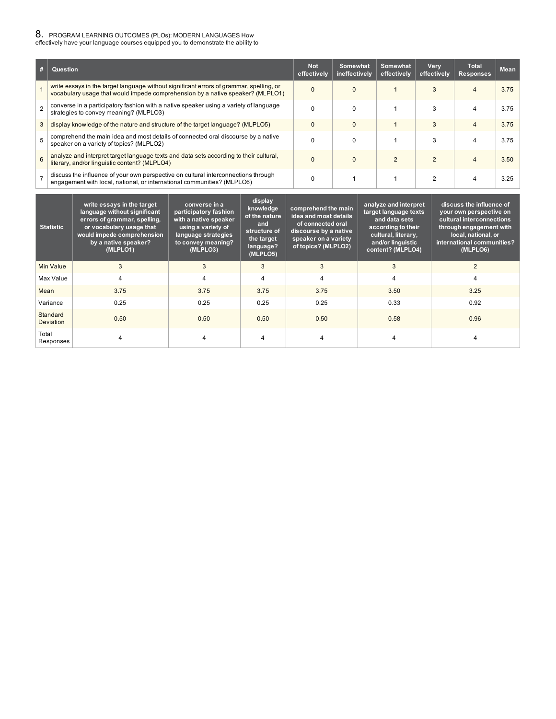# **8.** PROGRAM LEARNING OUTCOMES (PLOs): MODERN LANGUAGES How<br>effectively have your language courses equipped you to demonstrate the ability to

| #              | Question                                                                                                                                                                  | <b>Not</b><br>effectively | Somewhat<br>ineffectively | Somewhat<br>effectively | Very<br>effectively | <b>Total</b><br><b>Responses</b> | Mean |
|----------------|---------------------------------------------------------------------------------------------------------------------------------------------------------------------------|---------------------------|---------------------------|-------------------------|---------------------|----------------------------------|------|
|                | write essays in the target language without significant errors of grammar, spelling, or<br>vocabulary usage that would impede comprehension by a native speaker? (MLPLO1) | $\Omega$                  | $\Omega$                  |                         | 3                   | 4                                | 3.75 |
| $\overline{2}$ | converse in a participatory fashion with a native speaker using a variety of language<br>strategies to convey meaning? (MLPLO3)                                           |                           | $\Omega$                  |                         | 3                   | 4                                | 3.75 |
| 3              | display knowledge of the nature and structure of the target language? (MLPLO5)                                                                                            | $\Omega$                  | $\Omega$                  |                         | 3                   | $\overline{4}$                   | 3.75 |
| 5              | comprehend the main idea and most details of connected oral discourse by a native<br>speaker on a variety of topics? (MLPLO2)                                             |                           | $\Omega$                  |                         |                     | 4                                | 3.75 |
| 6              | analyze and interpret target language texts and data sets according to their cultural,<br>literary, and/or linguistic content? (MLPLO4)                                   | $\Omega$                  | $\Omega$                  | $\mathcal{P}$           | $\mathfrak{p}$      | 4                                | 3.50 |
| $\overline{7}$ | discuss the influence of your own perspective on cultural interconnections through<br>engagement with local, national, or international communities? (MLPLO6)             |                           |                           |                         | 2                   | 4                                | 3.25 |

| <b>Statistic</b>             | write essays in the target<br>language without significant<br>errors of grammar, spelling,<br>or vocabulary usage that<br>would impede comprehension<br>by a native speaker?<br>(MLPLO1) | converse in a<br>participatory fashion<br>with a native speaker<br>using a variety of<br>language strategies<br>to convey meaning?<br>(MLPLO3) | display<br>knowledge<br>of the nature<br>and<br>structure of<br>the target<br>language?<br>(MLPLO5) | comprehend the main<br>idea and most details<br>of connected oral<br>discourse by a native<br>speaker on a variety<br>of topics? (MLPLO2) | analyze and interpret<br>target language texts<br>and data sets<br>according to their<br>cultural, literary,<br>and/or linguistic<br>content? (MLPLO4) | discuss the influence of<br>your own perspective on<br>cultural interconnections<br>through engagement with<br>local, national, or<br>international communities?<br>(MLPLO6) |
|------------------------------|------------------------------------------------------------------------------------------------------------------------------------------------------------------------------------------|------------------------------------------------------------------------------------------------------------------------------------------------|-----------------------------------------------------------------------------------------------------|-------------------------------------------------------------------------------------------------------------------------------------------|--------------------------------------------------------------------------------------------------------------------------------------------------------|------------------------------------------------------------------------------------------------------------------------------------------------------------------------------|
| <b>Min Value</b>             | 3                                                                                                                                                                                        | 3                                                                                                                                              | 3                                                                                                   | 3                                                                                                                                         | 3                                                                                                                                                      | $\overline{2}$                                                                                                                                                               |
| Max Value                    | 4                                                                                                                                                                                        | 4                                                                                                                                              |                                                                                                     | 4                                                                                                                                         | $\overline{4}$                                                                                                                                         | 4                                                                                                                                                                            |
| Mean                         | 3.75                                                                                                                                                                                     | 3.75                                                                                                                                           | 3.75                                                                                                | 3.75                                                                                                                                      | 3.50                                                                                                                                                   | 3.25                                                                                                                                                                         |
| Variance                     | 0.25                                                                                                                                                                                     | 0.25                                                                                                                                           | 0.25                                                                                                | 0.25                                                                                                                                      | 0.33                                                                                                                                                   | 0.92                                                                                                                                                                         |
| Standard<br><b>Deviation</b> | 0.50                                                                                                                                                                                     | 0.50                                                                                                                                           | 0.50                                                                                                | 0.50                                                                                                                                      | 0.58                                                                                                                                                   | 0.96                                                                                                                                                                         |
| Total<br>Responses           | 4                                                                                                                                                                                        | 4                                                                                                                                              | 4                                                                                                   | 4                                                                                                                                         | 4                                                                                                                                                      | 4                                                                                                                                                                            |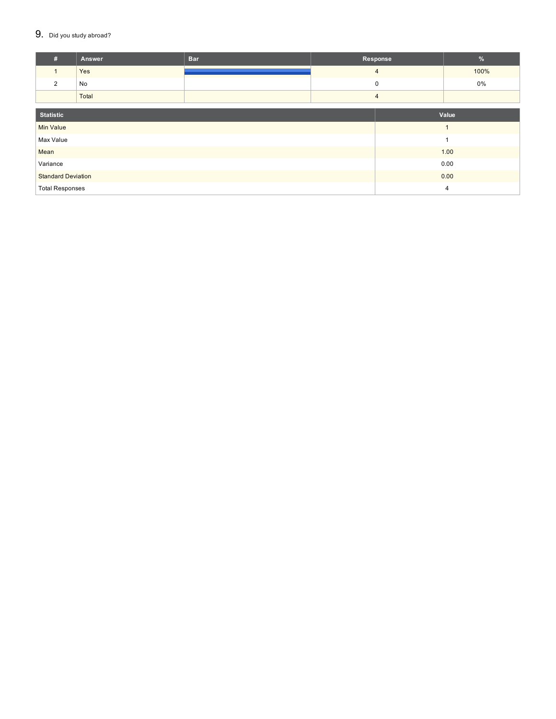### $9.$  Did you study abroad?

| #                         | Answer | <b>Bar</b> | Response       |      | %    |  |  |
|---------------------------|--------|------------|----------------|------|------|--|--|
|                           | Yes    |            | $\overline{4}$ |      | 100% |  |  |
| 2                         | No     |            | 0              |      | 0%   |  |  |
|                           | Total  |            | $\overline{4}$ |      |      |  |  |
| <b>Statistic</b><br>Value |        |            |                |      |      |  |  |
| <b>Min Value</b><br>и     |        |            |                |      |      |  |  |
| Max Value                 |        |            |                | 1    |      |  |  |
| Mean                      |        |            |                | 1.00 |      |  |  |
| Variance                  |        |            | 0.00           |      |      |  |  |
| <b>Standard Deviation</b> |        |            |                | 0.00 |      |  |  |
| <b>Total Responses</b>    |        |            |                | 4    |      |  |  |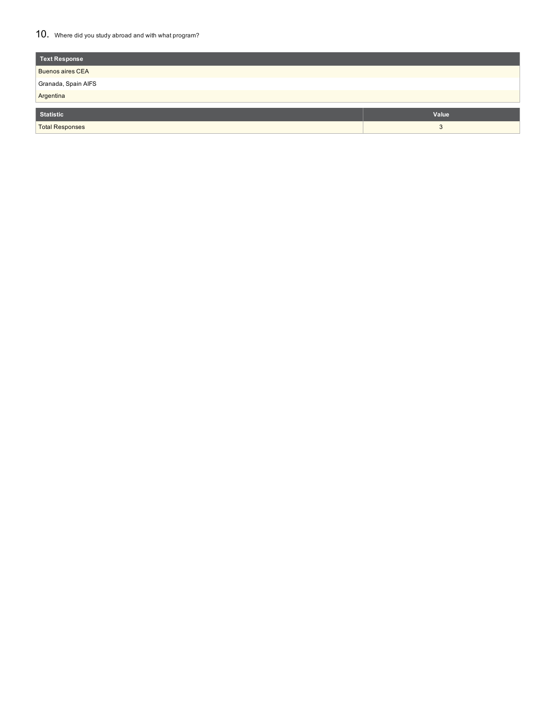### 10. Where did you study abroad and with what program?

| Value |
|-------|
| 3     |
|       |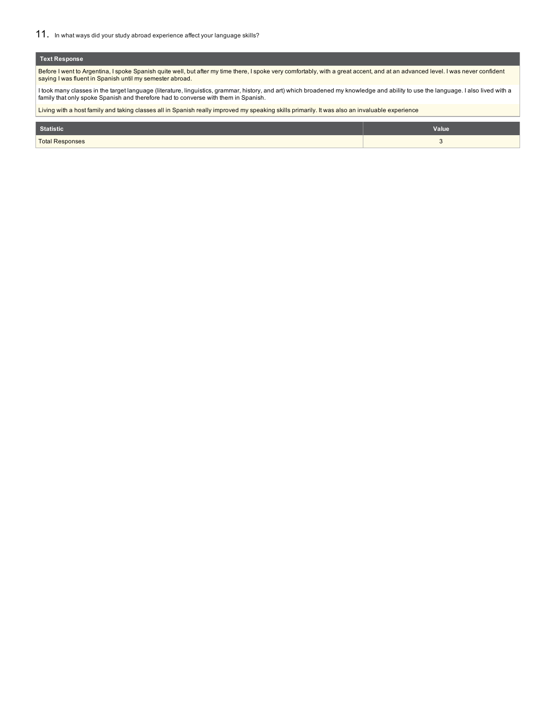### **Text Response**

Before I went to Argentina, I spoke Spanish quite well, but after my time there, I spoke very comfortably, with a great accent, and at an advanced level. I was never confident saying I was fluent in Spanish until my semester abroad.

I took many classes in the target language (literature, linguistics, grammar, history, and art) which broadened my knowledge and ability to use the language. I also lived with a<br>family that only spoke Spanish and therefore

Living with a host family and taking classes all in Spanish really improved my speaking skills primarily. It was also an invaluable experience

| Statistic              | Value  |
|------------------------|--------|
| <b>Total Responses</b> | $\sim$ |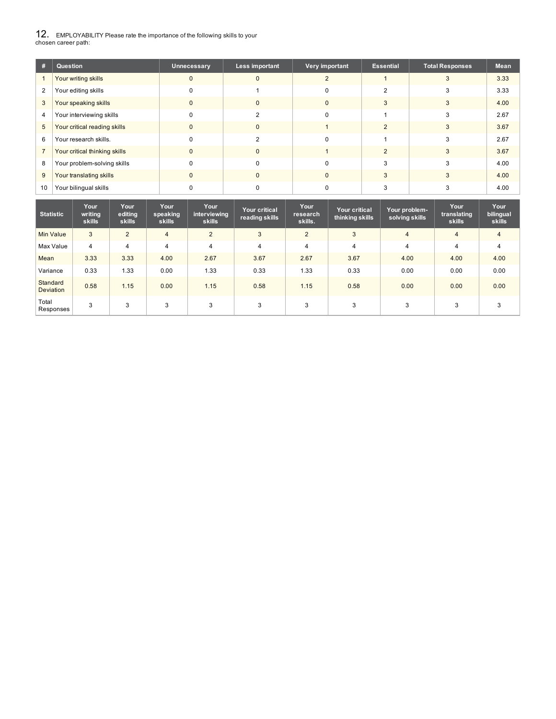12. EMPLOYABILITY Please rate the importance of the following skills to your chosen career path:

| #  | Question                      | Unnecessary | Less important | Very important | <b>Essential</b> | <b>Total Responses</b> | <b>Mean</b> |
|----|-------------------------------|-------------|----------------|----------------|------------------|------------------------|-------------|
|    | Your writing skills           |             | $\Omega$       |                |                  | 3                      | 3.33        |
| 2  | Your editing skills           |             |                |                |                  |                        | 3.33        |
| 3  | Your speaking skills          |             | 0              |                |                  |                        | 4.00        |
| 4  | Your interviewing skills      |             |                |                |                  | 3                      | 2.67        |
| 5  | Your critical reading skills  | 0           | 0              |                |                  |                        | 3.67        |
| 6  | Your research skills.         |             | っ              |                |                  | 3                      | 2.67        |
|    | Your critical thinking skills | 0           | $\mathbf{0}$   |                |                  | 3                      | 3.67        |
| 8  | Your problem-solving skills   |             | O              |                |                  | з                      | 4.00        |
| 9  | Your translating skills       | 0           | $\mathbf{0}$   | 0              | 3                |                        | 4.00        |
| 10 | Your bilingual skills         |             |                |                |                  |                        | 4.00        |

| <b>Statistic</b>      | Your<br>writing<br>skills | Your<br>editing<br>skills | Your<br>speaking<br><b>skills</b> | Your<br>interviewing<br>skills | <b>Your critical</b><br>reading skills | Your<br>research<br>skills. | Your critical<br>thinking skills | Your problem-<br>solving skills | Your<br>translating<br><b>skills</b> | Your<br>bilingual<br>skills |
|-----------------------|---------------------------|---------------------------|-----------------------------------|--------------------------------|----------------------------------------|-----------------------------|----------------------------------|---------------------------------|--------------------------------------|-----------------------------|
| Min Value             | 3                         | 2                         | $\overline{4}$                    | 2                              | 3                                      | $\overline{2}$              | 3                                | $\overline{4}$                  | $\overline{4}$                       | $\overline{4}$              |
| Max Value             | $\overline{4}$            | $\overline{4}$            | $\overline{4}$                    | $\overline{4}$                 | 4                                      | 4                           | 4                                | $\overline{4}$                  | 4                                    | 4                           |
| Mean                  | 3.33                      | 3.33                      | 4.00                              | 2.67                           | 3.67                                   | 2.67                        | 3.67                             | 4.00                            | 4.00                                 | 4.00                        |
| Variance              | 0.33                      | 1.33                      | 0.00                              | 1.33                           | 0.33                                   | 1.33                        | 0.33                             | 0.00                            | 0.00                                 | 0.00                        |
| Standard<br>Deviation | 0.58                      | 1.15                      | 0.00                              | 1.15                           | 0.58                                   | 1.15                        | 0.58                             | 0.00                            | 0.00                                 | 0.00                        |
| Total<br>Responses    | 3                         | 3                         | 3                                 | 3                              | 3                                      | 3                           | 3                                | 3                               | 3                                    | 3                           |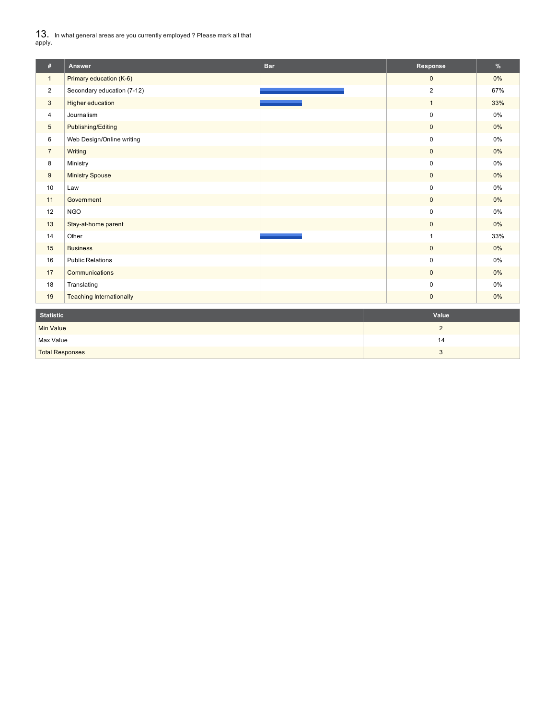${\bf 13.} \;$  In what general areas are you currently employed ? Please mark all that<br>apply.

| #                | Answer                          | <b>Bar</b> | Response       | %     |
|------------------|---------------------------------|------------|----------------|-------|
| $\mathbf{1}$     | Primary education (K-6)         |            | $\mathbf{0}$   | 0%    |
| $\overline{2}$   | Secondary education (7-12)      |            | $\overline{2}$ | 67%   |
| 3                | <b>Higher education</b>         |            | $\mathbf{1}$   | 33%   |
| $\overline{4}$   | Journalism                      |            | $\pmb{0}$      | 0%    |
| $5\phantom{.0}$  | Publishing/Editing              |            | $\mathbf{0}$   | 0%    |
| 6                | Web Design/Online writing       |            | $\pmb{0}$      | 0%    |
| $\overline{7}$   | Writing                         |            | $\mathbf{0}$   | 0%    |
| 8                | Ministry                        |            | $\pmb{0}$      | 0%    |
| 9                | <b>Ministry Spouse</b>          |            | $\mathbf 0$    | 0%    |
| 10               | Law                             |            | $\pmb{0}$      | 0%    |
| 11               | Government                      |            | $\mathbf 0$    | 0%    |
| 12               | <b>NGO</b>                      |            | $\pmb{0}$      | $0\%$ |
| 13               | Stay-at-home parent             |            | $\mathbf{0}$   | 0%    |
| 14               | Other                           |            | 1              | 33%   |
| 15               | <b>Business</b>                 |            | $\mathbf{0}$   | 0%    |
| 16               | <b>Public Relations</b>         |            | $\mathbf 0$    | 0%    |
| 17               | Communications                  |            | $\mathbf{0}$   | 0%    |
| 18               | Translating                     |            | $\pmb{0}$      | 0%    |
| 19               | <b>Teaching Internationally</b> |            | $\mathbf{0}$   | $0\%$ |
| <b>Statistic</b> |                                 |            | Value          |       |
| <b>Min Value</b> |                                 |            | $\overline{2}$ |       |
|                  |                                 |            |                |       |
| Max Value        |                                 |            | 14             |       |

Total Responses 3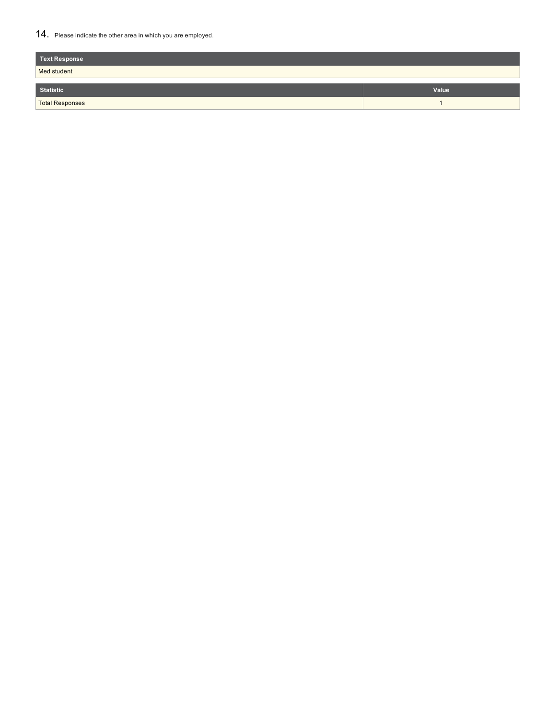### 14. Please indicate the other area in which you are employed.

| <b>Text Response</b>   |       |
|------------------------|-------|
| Med student            |       |
| <b>Statistic</b>       | Value |
| <b>Total Responses</b> |       |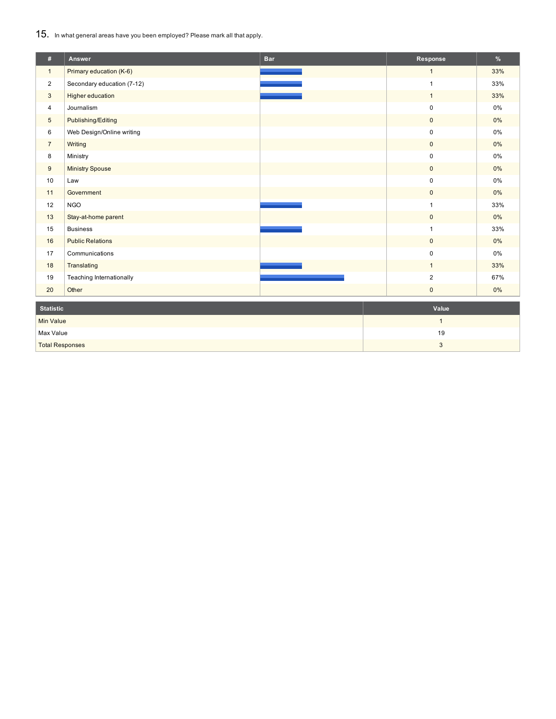15. In what general areas have you been employed? Please mark all that apply.

| #                      | Answer                     | <b>Bar</b> | Response       | %     |
|------------------------|----------------------------|------------|----------------|-------|
| $\mathbf{1}$           | Primary education (K-6)    |            | $\mathbf{1}$   | 33%   |
| $\overline{c}$         | Secondary education (7-12) |            | $\mathbf{1}$   | 33%   |
| 3                      | Higher education           |            | $\mathbf{1}$   | 33%   |
| 4                      | Journalism                 |            | $\pmb{0}$      | $0\%$ |
| $5\phantom{.0}$        | Publishing/Editing         |            | $\mathbf 0$    | $0\%$ |
| 6                      | Web Design/Online writing  |            | 0              | $0\%$ |
| $\overline{7}$         | Writing                    |            | $\mathbf{0}$   | $0\%$ |
| 8                      | Ministry                   |            | 0              | 0%    |
| 9                      | <b>Ministry Spouse</b>     |            | $\mathbf{0}$   | $0\%$ |
| 10                     | Law                        |            | 0              | 0%    |
| 11                     | Government                 |            | $\mathbf 0$    | $0\%$ |
| 12                     | <b>NGO</b>                 |            | 1              | 33%   |
| 13                     | Stay-at-home parent        |            | $\mathbf 0$    | $0\%$ |
| 15                     | <b>Business</b>            |            |                | 33%   |
| 16                     | <b>Public Relations</b>    |            | $\mathbf 0$    | $0\%$ |
| 17                     | Communications             |            | $\pmb{0}$      | 0%    |
| 18                     | Translating                |            | 1              | 33%   |
| 19                     | Teaching Internationally   |            | $\overline{2}$ | 67%   |
| 20                     | Other                      |            | $\mathbf{0}$   | 0%    |
| <b>Statistic</b>       |                            |            | Value          |       |
| Min Value              |                            |            | $\mathbf{1}$   |       |
| Max Value              |                            |            | 19             |       |
| <b>Total Responses</b> |                            |            | 3              |       |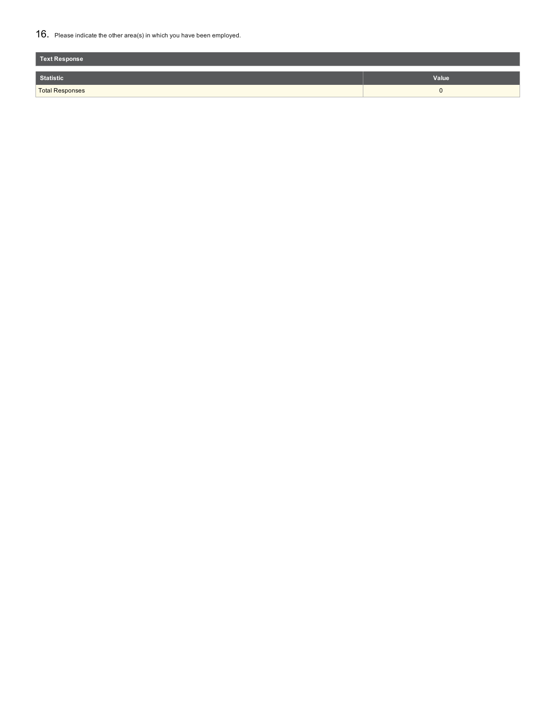### 16. Please indicate the other area(s) in which you have been employed.

| Text Response          |       |
|------------------------|-------|
| Statistic              | Value |
| <b>Total Responses</b> |       |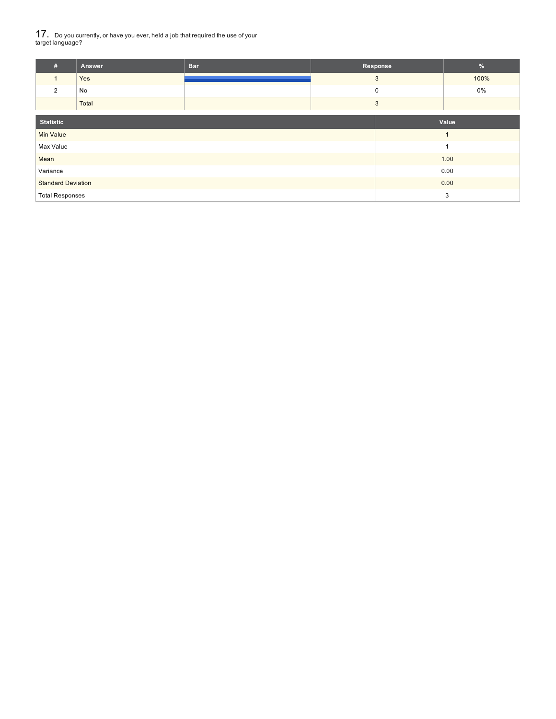$17_\cdot$  Do you currently, or have you ever, held a job that required the use of your<br>target language?

| #                         | Answer | <b>Bar</b> | Response     | $\%$ |  |
|---------------------------|--------|------------|--------------|------|--|
| $\mathbf{1}$              | Yes    |            | $\mathbf{3}$ | 100% |  |
| 2                         | No     |            | 0            | 0%   |  |
|                           | Total  |            | 3            |      |  |
| <b>Statistic</b><br>Value |        |            |              |      |  |
| <b>Min Value</b>          |        |            |              |      |  |
| Max Value                 |        |            |              |      |  |
| Mean                      |        |            |              | 1.00 |  |
| Variance                  |        |            |              | 0.00 |  |
| <b>Standard Deviation</b> |        |            |              | 0.00 |  |
| <b>Total Responses</b>    |        |            |              | 3    |  |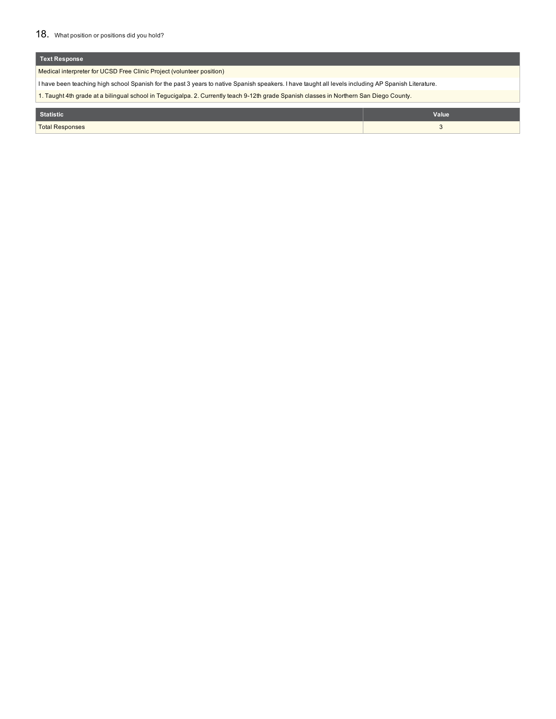### 18. What position or positions did you hold?

| <b>Text Response</b>                                                                                                                                |  |  |  |  |  |
|-----------------------------------------------------------------------------------------------------------------------------------------------------|--|--|--|--|--|
| Medical interpreter for UCSD Free Clinic Project (volunteer position)                                                                               |  |  |  |  |  |
| I have been teaching high school Spanish for the past 3 years to native Spanish speakers. I have taught all levels including AP Spanish Literature. |  |  |  |  |  |
| 1. Taught 4th grade at a bilingual school in Tegucigalpa. 2. Currently teach 9-12th grade Spanish classes in Northern San Diego County.             |  |  |  |  |  |
| Value<br><b>Statistic</b>                                                                                                                           |  |  |  |  |  |
| <b>Total Responses</b>                                                                                                                              |  |  |  |  |  |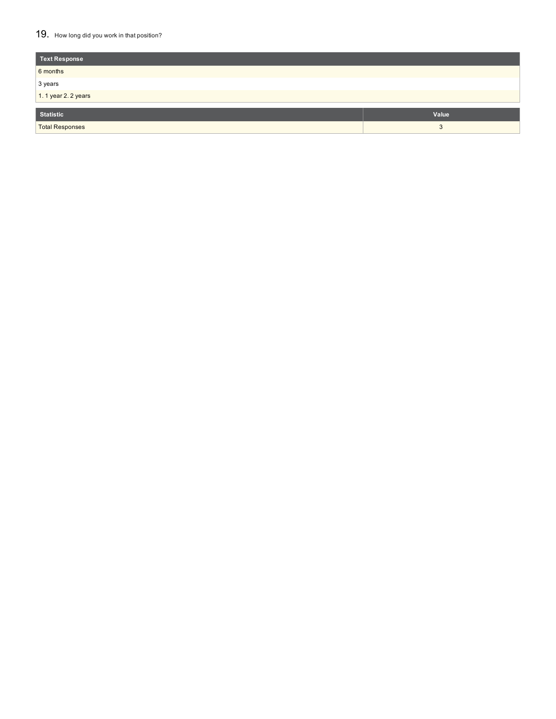### 19. How long did you work in that position?

| <b>Text Response</b>   |       |
|------------------------|-------|
| 6 months               |       |
| 3 years                |       |
| 1.1 year 2.2 years     |       |
|                        |       |
| <b>Statistic</b>       | Value |
| <b>Total Responses</b> | 3     |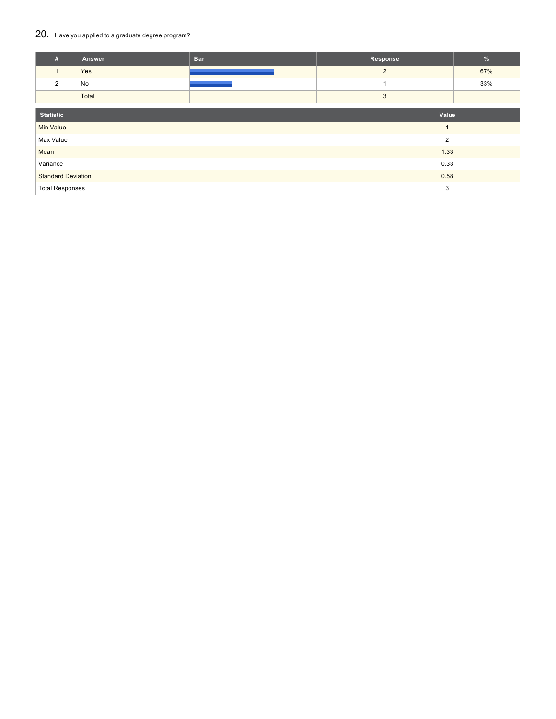### 20. Have you applied to a graduate degree program?

| #                         | Answer | <b>Bar</b> | Response       | $\frac{9}{6}$  |     |
|---------------------------|--------|------------|----------------|----------------|-----|
| $\mathbf{1}$              | Yes    |            |                | $\overline{2}$ | 67% |
| 2                         | No     |            |                |                | 33% |
|                           | Total  |            |                |                |     |
| <b>Statistic</b>          |        | Value      |                |                |     |
|                           |        |            | $\overline{1}$ |                |     |
| <b>Min Value</b>          |        |            |                |                |     |
| Max Value                 |        |            |                | $\overline{2}$ |     |
| Mean                      |        |            |                | 1.33           |     |
| Variance                  |        | 0.33       |                |                |     |
| <b>Standard Deviation</b> |        |            |                | 0.58           |     |
| <b>Total Responses</b>    |        |            |                | 3              |     |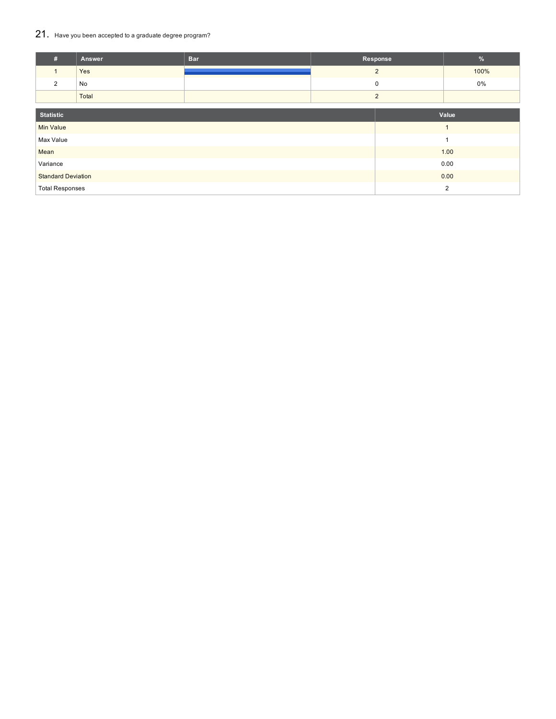## 21. Have you been accepted to <sup>a</sup> graduate degree program?

| #                         | Answer | <b>Bar</b> | Response       |                | %              |
|---------------------------|--------|------------|----------------|----------------|----------------|
|                           | Yes    |            | $\overline{2}$ |                | 100%           |
| 2                         | No     |            | 0              |                | 0%             |
|                           | Total  |            | 2              |                |                |
|                           |        |            |                |                |                |
| <b>Statistic</b>          |        |            |                |                | Value          |
| <b>Min Value</b>          |        |            |                | $\overline{ }$ |                |
| Max Value                 |        |            |                |                | 1              |
| Mean                      |        |            |                |                | 1.00           |
| Variance                  |        |            |                |                | 0.00           |
| <b>Standard Deviation</b> |        |            |                |                | 0.00           |
| <b>Total Responses</b>    |        |            |                |                | $\overline{2}$ |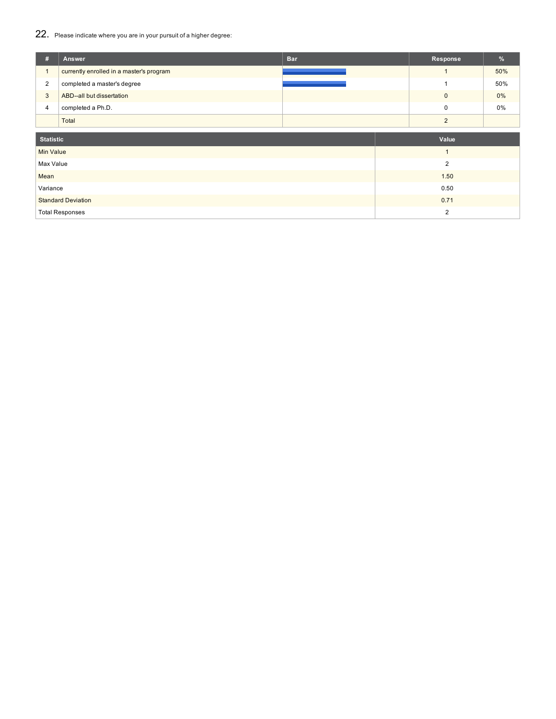# 22. Please indicate where you are in your pursuit of <sup>a</sup> higher degree:

| #                | <b>Answer</b>                            | <b>Bar</b> | Response       | %     |
|------------------|------------------------------------------|------------|----------------|-------|
| $\mathbf{1}$     | currently enrolled in a master's program |            |                | 50%   |
| 2                | completed a master's degree              |            |                | 50%   |
| $\mathbf{3}$     | ABD--all but dissertation                |            | $\mathbf 0$    | $0\%$ |
| $\overline{4}$   | completed a Ph.D.                        |            | $\mathbf 0$    | 0%    |
|                  | Total                                    |            | $\overline{2}$ |       |
|                  |                                          |            |                |       |
| <b>Statistic</b> |                                          |            | Value          |       |
| Min Value        |                                          |            | $\mathbf{1}$   |       |
| Max Value        |                                          |            | $\overline{2}$ |       |
| Mean             |                                          |            | 1.50           |       |
| Variance         |                                          |            | 0.50           |       |
|                  | <b>Standard Deviation</b>                |            | 0.71           |       |
|                  | <b>Total Responses</b>                   |            | $\overline{2}$ |       |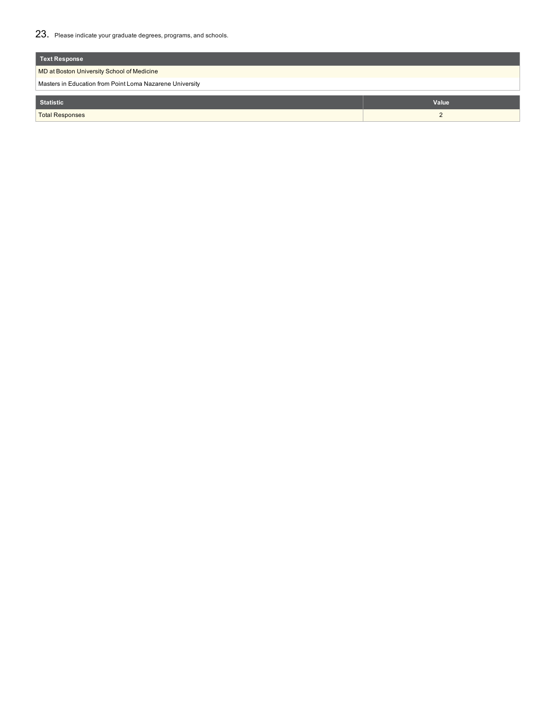23. Please indicate your graduate degrees, programs, and schools.

| Text Response                                            |       |  |  |  |
|----------------------------------------------------------|-------|--|--|--|
| MD at Boston University School of Medicine               |       |  |  |  |
| Masters in Education from Point Loma Nazarene University |       |  |  |  |
| <b>Statistic</b>                                         | Value |  |  |  |
|                                                          |       |  |  |  |
| <b>Total Responses</b>                                   |       |  |  |  |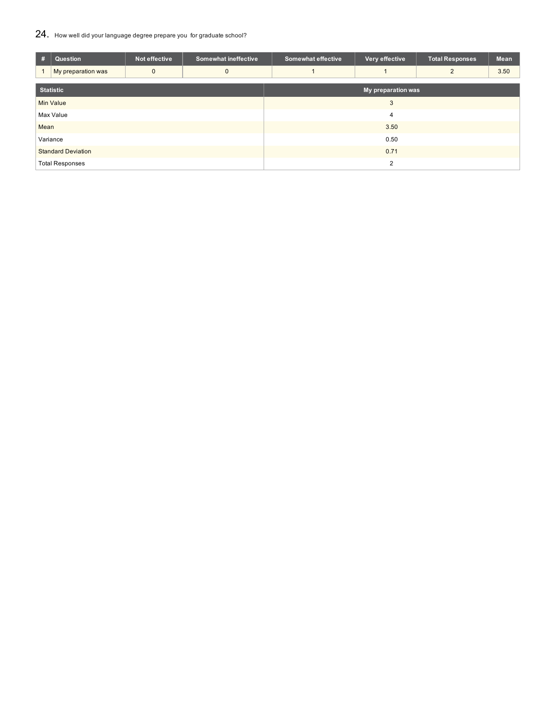## 24. How well did your language degree prepare you for graduate school?

| #                         | Question           | Not effective | <b>Somewhat ineffective</b> | <b>Somewhat effective</b> | Very effective | <b>Total Responses</b> | Mean |  |  |
|---------------------------|--------------------|---------------|-----------------------------|---------------------------|----------------|------------------------|------|--|--|
|                           | My preparation was | $\mathbf{0}$  | $\mathbf{0}$                |                           |                | $\overline{2}$         | 3.50 |  |  |
| <b>Statistic</b>          |                    |               |                             | My preparation was        |                |                        |      |  |  |
|                           | <b>Min Value</b>   |               |                             | 3                         |                |                        |      |  |  |
|                           | Max Value          |               |                             | 4                         |                |                        |      |  |  |
| Mean                      |                    |               |                             | 3.50                      |                |                        |      |  |  |
| Variance                  |                    |               |                             | 0.50                      |                |                        |      |  |  |
| <b>Standard Deviation</b> |                    |               |                             | 0.71                      |                |                        |      |  |  |
| <b>Total Responses</b>    |                    |               |                             | 2                         |                |                        |      |  |  |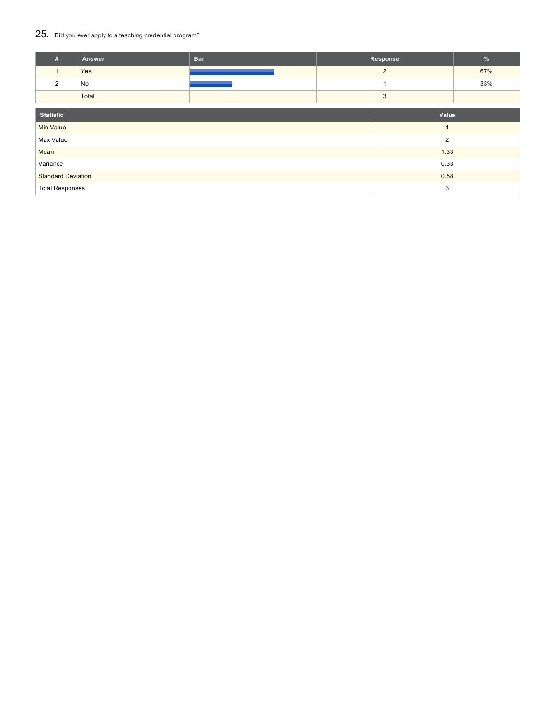# 25. Did you ever apply to a teaching credential program?

| #                         | Answer | <b>Bar</b> | Response       |                | %   |
|---------------------------|--------|------------|----------------|----------------|-----|
| $\mathbf{1}$              | Yes    |            | $\overline{2}$ |                | 67% |
| 2                         | No     |            |                |                | 33% |
|                           | Total  |            | 3              |                |     |
|                           |        |            |                |                |     |
| <b>Statistic</b>          |        |            |                | Value          |     |
| <b>Min Value</b>          |        |            |                | $\overline{1}$ |     |
| Max Value                 |        |            |                | 2              |     |
| Mean                      |        |            |                | 1.33           |     |
| Variance                  |        |            | 0.33           |                |     |
| <b>Standard Deviation</b> |        |            | 0.58           |                |     |
| <b>Total Responses</b>    |        |            | 3              |                |     |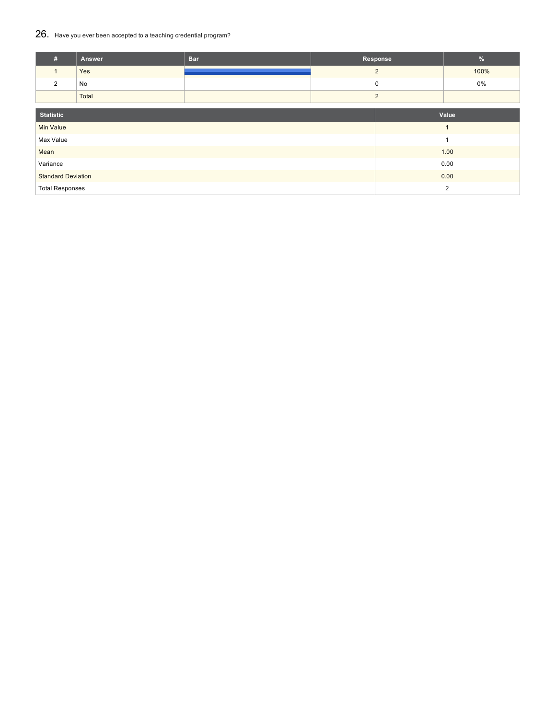### 26. Have you ever been accepted to <sup>a</sup> teaching credential program?

| #                         | Answer | <b>Bar</b> | Response       |                | %              |
|---------------------------|--------|------------|----------------|----------------|----------------|
|                           | Yes    |            | $\overline{2}$ |                | 100%           |
| 2                         | No     |            | 0              |                | 0%             |
|                           | Total  |            | 2              |                |                |
| <b>Statistic</b>          |        |            |                |                | Value          |
|                           |        |            |                |                |                |
| <b>Min Value</b>          |        |            |                |                | $\overline{1}$ |
| Max Value                 |        |            |                |                | 1              |
| Mean                      |        |            |                |                | 1.00           |
| Variance                  |        |            |                |                | 0.00           |
| <b>Standard Deviation</b> |        |            |                |                | 0.00           |
| <b>Total Responses</b>    |        |            |                | $\overline{2}$ |                |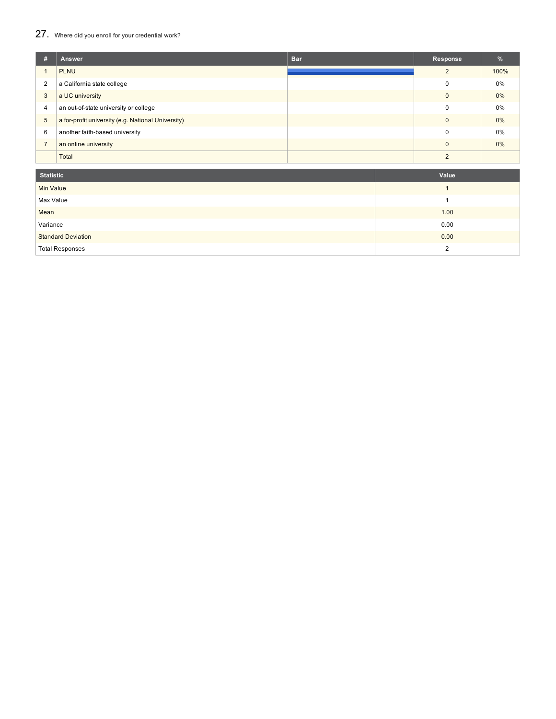### 27. Where did you enroll for your credential work?

| #              | Answer                                             | <b>Bar</b> | Response       | $\frac{9}{6}$ |
|----------------|----------------------------------------------------|------------|----------------|---------------|
|                | <b>PLNU</b>                                        |            | $\overline{2}$ | 100%          |
| 2              | a California state college                         |            | $\Omega$       | 0%            |
| 3              | a UC university                                    |            | $\Omega$       | $0\%$         |
| 4              | an out-of-state university or college              |            | $\Omega$       | 0%            |
| $\sqrt{5}$     | a for-profit university (e.g. National University) |            | $\Omega$       | $0\%$         |
| 6              | another faith-based university                     |            | $\Omega$       | 0%            |
| $\overline{7}$ | an online university                               |            | $\Omega$       | $0\%$         |
|                | Total                                              |            | $\Omega$       |               |

| <b>Statistic</b>          | Value |
|---------------------------|-------|
| Min Value                 |       |
| Max Value                 |       |
| Mean                      | 1.00  |
| Variance                  | 0.00  |
| <b>Standard Deviation</b> | 0.00  |
| <b>Total Responses</b>    | າ     |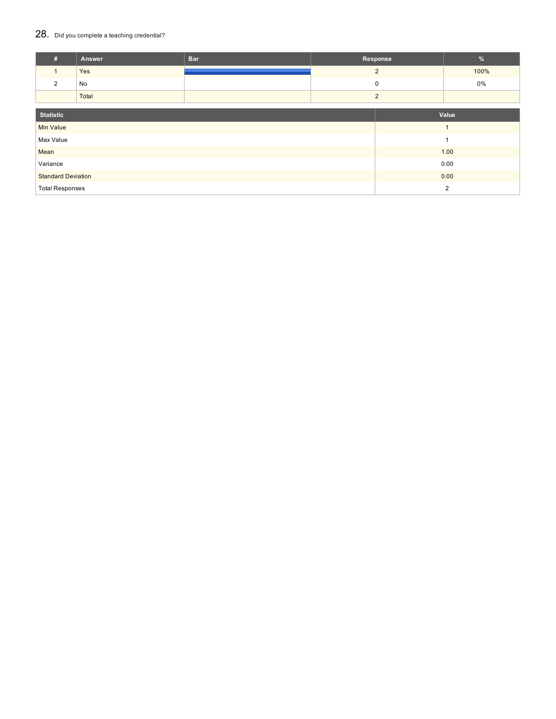### 28. Did you complete a teaching credential?

| #                         | Answer | <b>Bar</b> | Response       |                | %              |
|---------------------------|--------|------------|----------------|----------------|----------------|
|                           | Yes    |            | $\overline{2}$ |                | 100%           |
| 2                         | No     |            | 0              |                | 0%             |
|                           | Total  |            | 2              |                |                |
| <b>Statistic</b>          |        |            |                |                | Value          |
|                           |        |            |                |                |                |
| <b>Min Value</b>          |        |            |                |                | $\overline{1}$ |
| Max Value                 |        |            |                |                | 1              |
| Mean                      |        |            |                |                | 1.00           |
| Variance                  |        |            |                |                | 0.00           |
| <b>Standard Deviation</b> |        |            |                |                | 0.00           |
| <b>Total Responses</b>    |        |            |                | $\overline{2}$ |                |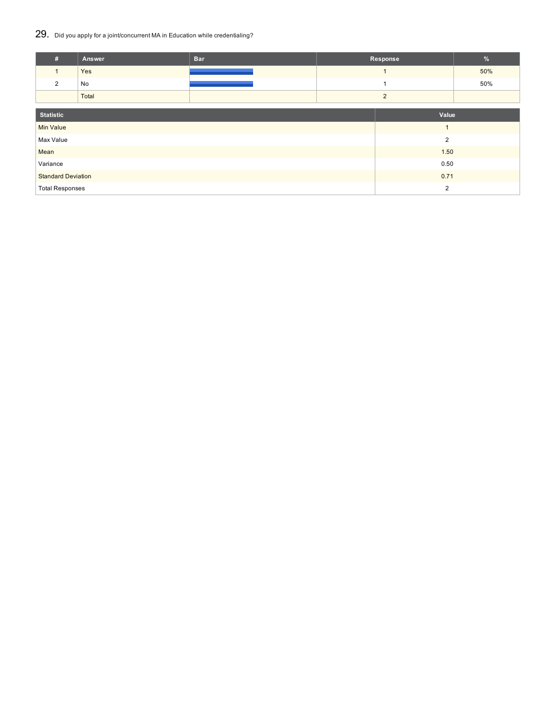### 29. Did you apply for <sup>a</sup> joint/concurrent MA in Education while credentialing?

| #                         | Answer | <b>Bar</b> | Response       |                | $\frac{9}{6}$ |
|---------------------------|--------|------------|----------------|----------------|---------------|
| $\mathbf{1}$              | Yes    |            |                |                | 50%           |
| $\overline{2}$            | No     |            |                |                | 50%           |
|                           | Total  |            | $\overline{2}$ |                |               |
|                           |        |            |                |                |               |
| <b>Statistic</b>          |        |            |                | Value          |               |
| <b>Min Value</b>          |        |            |                | $\overline{1}$ |               |
| Max Value                 |        |            |                | $\overline{2}$ |               |
| Mean                      |        |            |                | 1.50           |               |
| Variance                  |        |            | 0.50           |                |               |
| <b>Standard Deviation</b> |        |            | 0.71           |                |               |
| <b>Total Responses</b>    |        |            | $\overline{2}$ |                |               |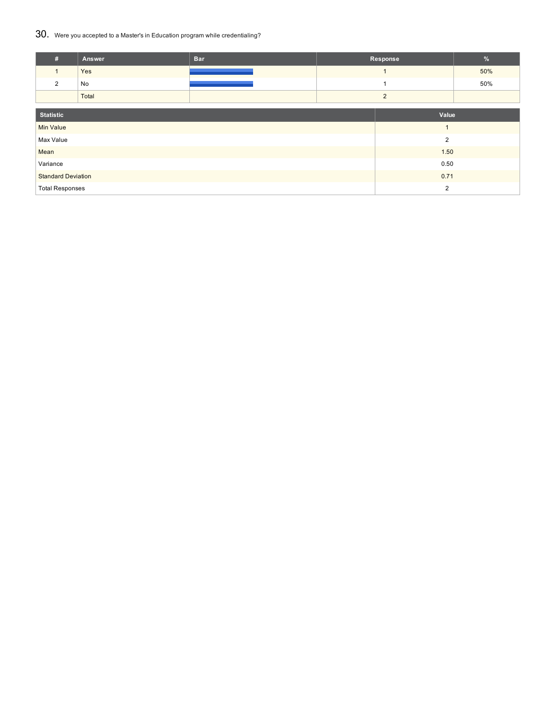### 30. Were you accepted to <sup>a</sup> Master's in Education program while credentialing?

| #                         | Answer | <b>Bar</b> | Response       |                | $\frac{9}{6}$ |
|---------------------------|--------|------------|----------------|----------------|---------------|
| $\mathbf{1}$              | Yes    |            |                |                | 50%           |
| $\overline{2}$            | No     |            |                |                | 50%           |
|                           | Total  |            |                | $\overline{2}$ |               |
|                           |        |            |                |                |               |
| <b>Statistic</b>          |        |            |                | Value          |               |
| <b>Min Value</b>          |        |            |                | $\mathbf{1}$   |               |
| Max Value                 |        |            |                | $\overline{2}$ |               |
| Mean                      |        |            | 1.50           |                |               |
| Variance                  |        |            | 0.50           |                |               |
| <b>Standard Deviation</b> |        |            | 0.71           |                |               |
| <b>Total Responses</b>    |        |            | $\overline{2}$ |                |               |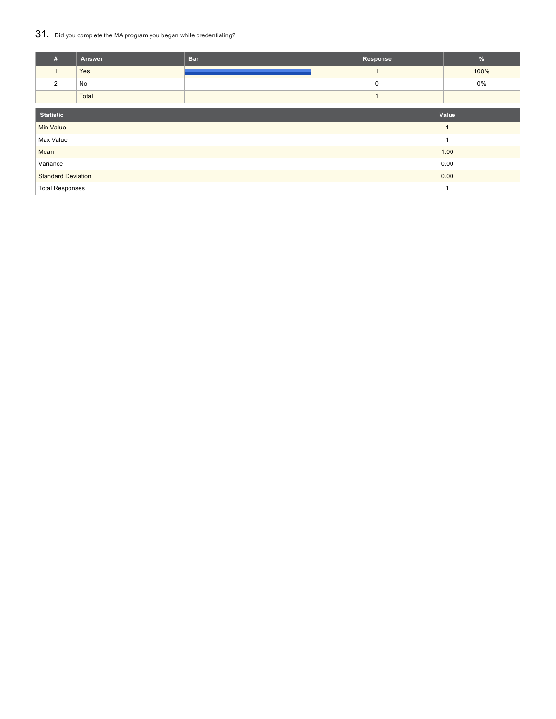## 31. Did you complete the MA program you began while credentialing?

| #                         | Answer | <b>Bar</b> | Response       | %              |
|---------------------------|--------|------------|----------------|----------------|
|                           | Yes    |            | $\overline{ }$ | 100%           |
| 2                         | No     |            | 0              | 0%             |
|                           | Total  |            |                |                |
| <b>Statistic</b>          |        |            |                | Value          |
| <b>Min Value</b>          |        |            |                | $\overline{1}$ |
| Max Value                 |        |            |                | $\overline{ }$ |
| Mean                      |        |            |                | 1.00           |
| Variance                  |        |            |                | 0.00           |
| <b>Standard Deviation</b> |        |            |                | 0.00           |
| <b>Total Responses</b>    |        |            |                | ۸              |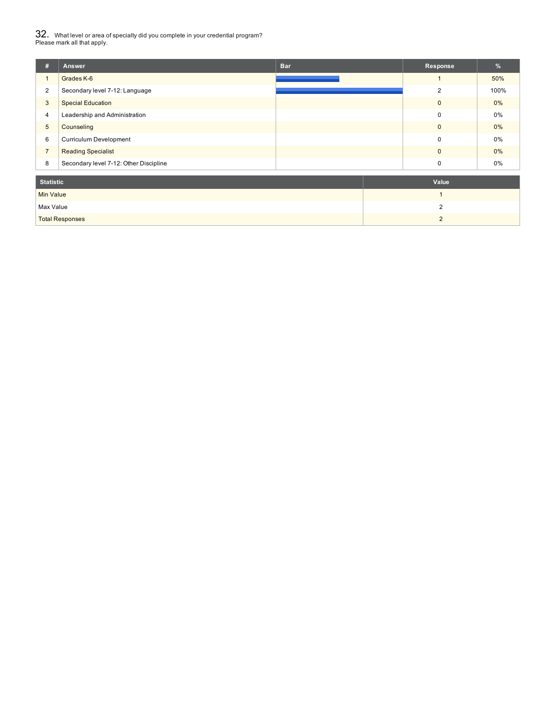$32_\cdot\,$  What level or area of specialty did you complete in your credential program?<br>Please mark all that apply.

| #                | Answer                                 | <b>Bar</b> | Response       | %     |
|------------------|----------------------------------------|------------|----------------|-------|
| 1                | Grades K-6                             |            |                | 50%   |
| $\overline{2}$   | Secondary level 7-12: Language         |            | 2              | 100%  |
| 3                | <b>Special Education</b>               |            | $\mathbf 0$    | $0\%$ |
| 4                | Leadership and Administration          |            | $\mathbf 0$    | 0%    |
| 5                | Counseling                             |            | $\mathbf{0}$   | $0\%$ |
| 6                | Curriculum Development                 |            | $\mathbf 0$    | 0%    |
| $\overline{7}$   | <b>Reading Specialist</b>              |            | $\mathbf 0$    | $0\%$ |
| 8                | Secondary level 7-12: Other Discipline |            | 0              | 0%    |
| <b>Statistic</b> |                                        |            | Value          |       |
| <b>Min Value</b> |                                        |            | 1              |       |
| Max Value        |                                        |            | $\overline{2}$ |       |

Total Responses 2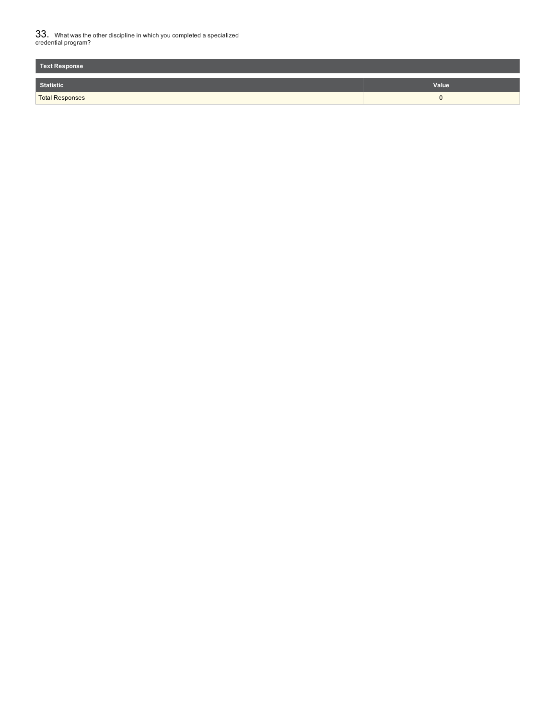$33_\cdot$  What was the other discipline in which you completed a specialized<br>credential program?

| <b>Text Response</b>   |       |
|------------------------|-------|
| <b>Statistic</b>       | Value |
| <b>Total Responses</b> | . .   |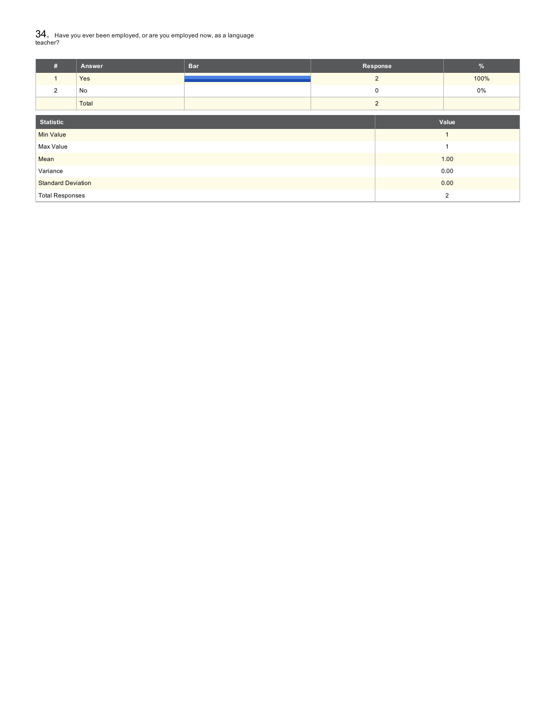${\bf 34.} \;$  Have you ever been employed, or are you employed now, as a language<br>teacher?

| #                         | Answer | <b>Bar</b> | Response       | $\%$           |
|---------------------------|--------|------------|----------------|----------------|
| $\mathbf{1}$              | Yes    |            | $\overline{2}$ | 100%           |
| 2                         | No     |            | $\mathbf 0$    | 0%             |
|                           | Total  |            | $\overline{2}$ |                |
| <b>Statistic</b>          |        |            |                | Value          |
| <b>Min Value</b>          |        |            |                | и              |
| Max Value                 |        |            |                | и              |
| Mean                      |        |            |                | 1.00           |
| Variance                  |        |            |                | 0.00           |
| <b>Standard Deviation</b> |        |            |                | 0.00           |
| <b>Total Responses</b>    |        |            |                | $\overline{2}$ |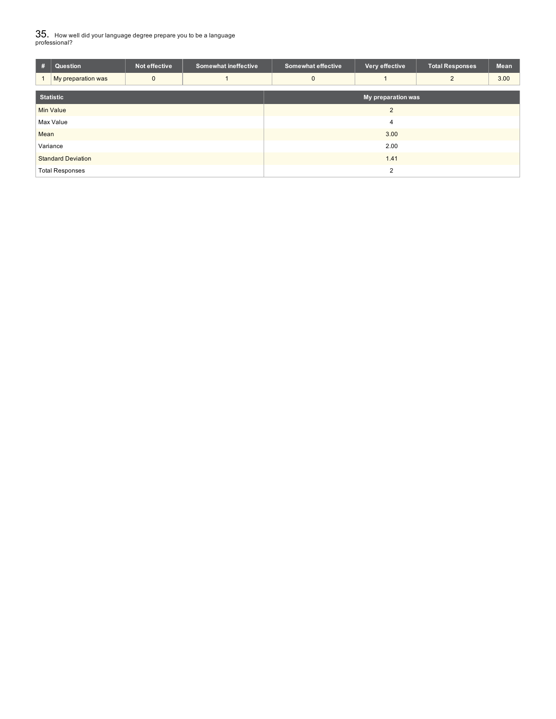$35_\cdot$  How well did your language degree prepare you to be a language<br>professional?

| #                         | Question               | Not effective | <b>Somewhat ineffective</b> | <b>Somewhat effective</b> | Very effective | <b>Total Responses</b> | Mean |  |  |
|---------------------------|------------------------|---------------|-----------------------------|---------------------------|----------------|------------------------|------|--|--|
|                           | My preparation was     | $\mathbf{0}$  |                             | $\Omega$                  |                | $\overline{2}$         | 3.00 |  |  |
| <b>Statistic</b>          |                        |               |                             | My preparation was        |                |                        |      |  |  |
|                           | <b>Min Value</b>       |               |                             |                           | $\overline{2}$ |                        |      |  |  |
| Max Value                 |                        |               |                             | 4                         |                |                        |      |  |  |
| Mean                      |                        |               |                             | 3.00                      |                |                        |      |  |  |
| Variance                  |                        |               | 2.00                        |                           |                |                        |      |  |  |
| <b>Standard Deviation</b> |                        |               | 1.41                        |                           |                |                        |      |  |  |
|                           | <b>Total Responses</b> |               |                             | 2                         |                |                        |      |  |  |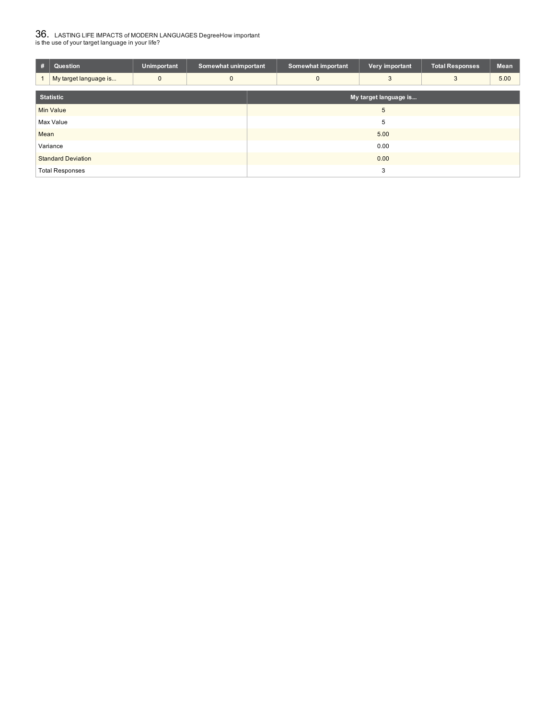# $36_\cdot$  LASTING LIFE IMPACTS of MODERN LANGUAGES DegreeHow important<br>is the use of your target language in your life?

| #                | Question                  | <b>Unimportant</b> | Somewhat unimportant |                       | Somewhat important | Very important | <b>Total Responses</b> | <b>Mean</b> |  |
|------------------|---------------------------|--------------------|----------------------|-----------------------|--------------------|----------------|------------------------|-------------|--|
|                  | My target language is     | $\mathbf{0}$       | $\mathbf 0$          |                       | $\mathbf{0}$       | 3              | 3                      | 5.00        |  |
| <b>Statistic</b> |                           |                    |                      | My target language is |                    |                |                        |             |  |
| <b>Min Value</b> |                           |                    | 5                    |                       |                    |                |                        |             |  |
| Max Value        |                           |                    | 5                    |                       |                    |                |                        |             |  |
| Mean             |                           |                    | 5.00                 |                       |                    |                |                        |             |  |
| Variance         |                           |                    | 0.00                 |                       |                    |                |                        |             |  |
|                  | <b>Standard Deviation</b> |                    |                      | 0.00                  |                    |                |                        |             |  |
|                  | <b>Total Responses</b>    |                    |                      | 3                     |                    |                |                        |             |  |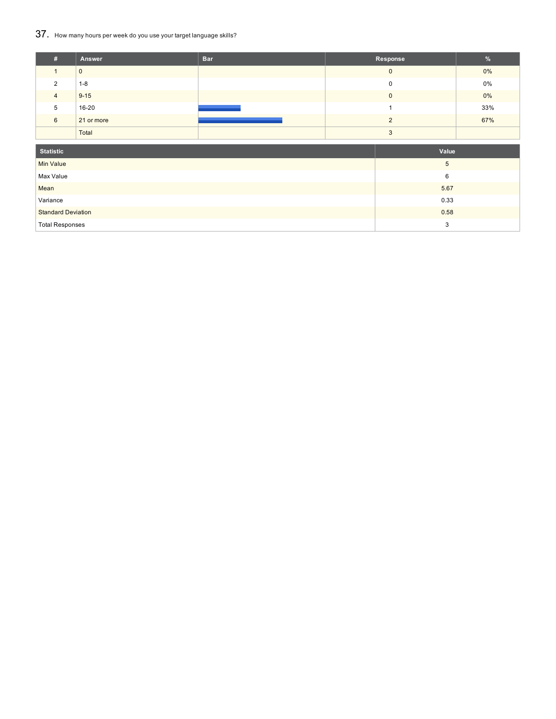## 37. How many hours per week do you use your target language skills?

| #              | Answer       | <b>Bar</b> | Response    | $\frac{9}{6}$ |
|----------------|--------------|------------|-------------|---------------|
|                | $\mathbf{0}$ |            | $\mathbf 0$ | $0\%$         |
| $\mathcal{P}$  | $1 - 8$      |            | $\Omega$    | $0\%$         |
| $\overline{4}$ | $9 - 15$     |            | $\Omega$    | 0%            |
| 5              | 16-20        |            |             | 33%           |
| 6              | 21 or more   |            |             | 67%           |
|                | Total        |            | ◠           |               |

| <b>Statistic</b>          | Value |
|---------------------------|-------|
| Min Value                 | 5     |
| Max Value                 | 6     |
| Mean                      | 5.67  |
| Variance                  | 0.33  |
| <b>Standard Deviation</b> | 0.58  |
| <b>Total Responses</b>    | ◠     |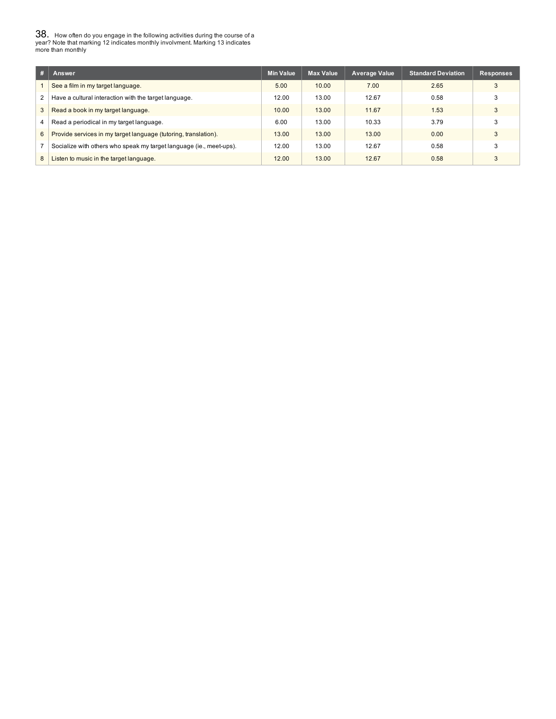$38_\cdot$  How often do you engage in the following activities during the course of a<br>year? Note that marking 12 indicates monthly involvment. Marking 13 indicates<br>more than monthly

| #              | Answer                                                              | <b>Min Value</b> | <b>Max Value</b> | <b>Average Value</b> | <b>Standard Deviation</b> | <b>Responses</b> |
|----------------|---------------------------------------------------------------------|------------------|------------------|----------------------|---------------------------|------------------|
|                | See a film in my target language.                                   | 5.00             | 10.00            | 7.00                 | 2.65                      | 3                |
| 2              | Have a cultural interaction with the target language.               | 12.00            | 13.00            | 12.67                | 0.58                      |                  |
| $\mathbf{3}$   | Read a book in my target language.                                  | 10.00            | 13.00            | 11.67                | 1.53                      |                  |
| $\overline{4}$ | Read a periodical in my target language.                            | 6.00             | 13.00            | 10.33                | 3.79                      |                  |
| 6              | Provide services in my target language (tutoring, translation).     | 13.00            | 13.00            | 13.00                | 0.00                      |                  |
|                | Socialize with others who speak my target language (ie., meet-ups). | 12.00            | 13.00            | 12.67                | 0.58                      |                  |
| 8              | Listen to music in the target language.                             | 12.00            | 13.00            | 12.67                | 0.58                      |                  |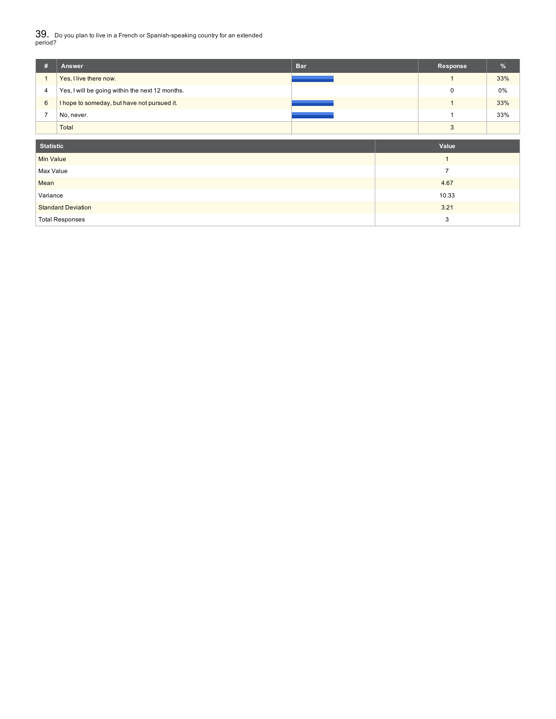39. Do you plan to live in a French or Spanish-speaking country for an extended period?

| #                | <b>Bar</b><br>Answer                            | Response       | %     |
|------------------|-------------------------------------------------|----------------|-------|
|                  | Yes, I live there now.                          |                | 33%   |
| 4                | Yes, I will be going within the next 12 months. | $\mathbf 0$    | $0\%$ |
| 6                | I hope to someday, but have not pursued it.     |                | 33%   |
| $\overline{7}$   | No, never.                                      |                | 33%   |
|                  | Total                                           | $\mathbf{3}$   |       |
|                  |                                                 |                |       |
| <b>Statistic</b> |                                                 | Value          |       |
| <b>Min Value</b> |                                                 |                |       |
| Max Value        |                                                 | $\overline{7}$ |       |
| Mean             |                                                 | 4.67           |       |
| Variance         |                                                 | 10.33          |       |
|                  | <b>Standard Deviation</b>                       | 3.21           |       |
|                  | <b>Total Responses</b>                          | 3              |       |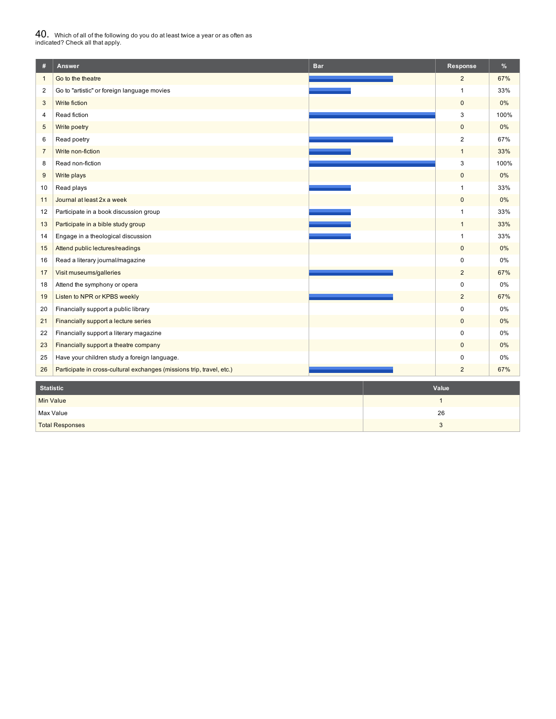# $40_\cdot$  Which of all of the following do you do at least twice a year or as often as<br>indicated? Check all that apply.

| #                       | Answer                                                                | <b>Bar</b> | Response       | $\%$ |
|-------------------------|-----------------------------------------------------------------------|------------|----------------|------|
| $\mathbf{1}$            | Go to the theatre                                                     |            | $\overline{2}$ | 67%  |
| $\overline{\mathbf{c}}$ | Go to "artistic" or foreign language movies                           |            | 1              | 33%  |
| 3                       | Write fiction                                                         |            | $\mathbf{0}$   | 0%   |
| 4                       | Read fiction                                                          |            | 3              | 100% |
| 5                       | Write poetry                                                          |            | $\overline{0}$ | 0%   |
| 6                       | Read poetry                                                           |            | $\overline{2}$ | 67%  |
| $\overline{7}$          | Write non-fiction                                                     |            | $\mathbf{1}$   | 33%  |
| 8                       | Read non-fiction                                                      |            | 3              | 100% |
| $9\,$                   | Write plays                                                           |            | $\mathbf 0$    | 0%   |
| 10                      | Read plays                                                            |            | $\mathbf{1}$   | 33%  |
| 11                      | Journal at least 2x a week                                            |            | $\mathbf{0}$   | 0%   |
| 12                      | Participate in a book discussion group                                |            | $\mathbf{1}$   | 33%  |
| 13                      | Participate in a bible study group                                    |            | $\mathbf{1}$   | 33%  |
| 14                      | Engage in a theological discussion                                    |            | $\mathbf{1}$   | 33%  |
| 15                      | Attend public lectures/readings                                       |            | $\pmb{0}$      | 0%   |
| 16                      | Read a literary journal/magazine                                      |            | $\mathbf 0$    | 0%   |
| 17                      | Visit museums/galleries                                               |            | $\overline{c}$ | 67%  |
| 18                      | Attend the symphony or opera                                          |            | 0              | 0%   |
| 19                      | Listen to NPR or KPBS weekly                                          |            | $\overline{2}$ | 67%  |
| 20                      | Financially support a public library                                  |            | $\mathbf 0$    | 0%   |
| 21                      | Financially support a lecture series                                  |            | $\pmb{0}$      | 0%   |
| 22                      | Financially support a literary magazine                               |            | 0              | 0%   |
| 23                      | Financially support a theatre company                                 |            | $\pmb{0}$      | 0%   |
| 25                      | Have your children study a foreign language.                          |            | 0              | 0%   |
| 26                      | Participate in cross-cultural exchanges (missions trip, travel, etc.) |            | $\overline{2}$ | 67%  |
| <b>Statistic</b>        |                                                                       |            | Value          |      |
| <b>Min Value</b>        |                                                                       |            | $\mathbf{1}$   |      |
|                         | Max Value                                                             |            | 26             |      |

**Total Responses 3** 2022 3 2022 3 2022 3 2022 3 2022 3 2022 3 2022 3 2022 3 2022 3 2022 3 2022 3 2022 3 2022 3 2022 3 2022 3 2022 3 2022 3 2022 3 2022 3 2022 3 2022 3 2022 3 2022 3 2022 3 2022 3 2022 3 2022 3 2022 3 2022 3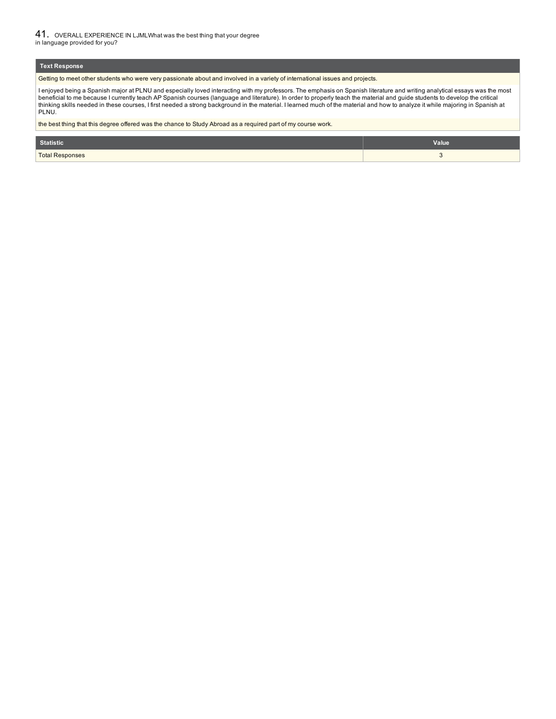41. OVERALL EXPERIENCE IN LJMLWhat was the best thing that your degree in language provided for you?

#### **Text Response**

Getting to meet other students who were very passionate about and involved in a variety of international issues and projects.

l enjoyed being a Spanish major at PLNU and especially loved interacting with my professors. The emphasis on Spanish literature and writing analytical essays was the most<br>beneficial to me because I currently teach AP Spani PLNU.

the best thing that this degree offered was the chance to Study Abroad as a required part of my course work.

| <b>Statistic</b>       | Value |
|------------------------|-------|
| <b>Total Responses</b> |       |